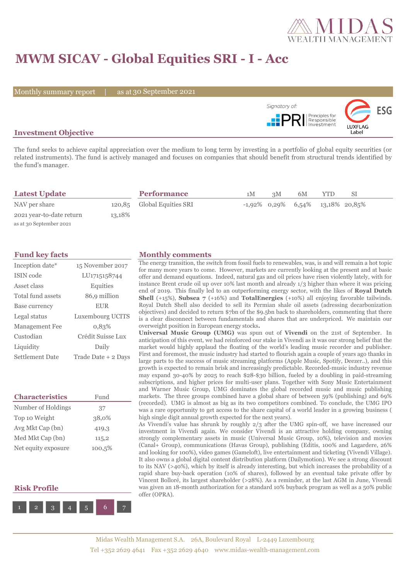

# **MWM SICAV - Global Equities SRI - I - Acc**

Monthly summary report | as at 30 September 2021



## **Investment Objective**

The fund seeks to achieve capital appreciation over the medium to long term by investing in a portfolio of global equity securities (or related instruments). The fund is actively managed and focuses on companies that should benefit from structural trends identified by the fund's manager.

| <b>Latest Update</b>     |        | <b>Performance</b>         | 1M | 3M | 6M | YTD                                 | SΙ |  |
|--------------------------|--------|----------------------------|----|----|----|-------------------------------------|----|--|
| NAV per share            |        | 120,85 Global Equities SRI |    |    |    | $-1,92\%$ 0,29% 6,54% 13,18% 20,85% |    |  |
| 2021 year-to-date return | 13,18% |                            |    |    |    |                                     |    |  |
| as at 30 September 2021  |        |                            |    |    |    |                                     |    |  |

| Inception date*        | 15 November 2017    |
|------------------------|---------------------|
| <b>ISIN</b> code       | LU1715158744        |
| Asset class            | Equities            |
| Total fund assets      | 86,9 million        |
| Base currency          | <b>EUR</b>          |
| Legal status           | Luxembourg UCITS    |
| <b>Management Fee</b>  | 0.83%               |
| Custodian              | Crédit Suisse Lux   |
| Liquidity              | Daily               |
| <b>Settlement Date</b> | Trade Date + 2 Days |

| <b>Characteristics</b> | Fund   |  |  |
|------------------------|--------|--|--|
| Number of Holdings     | 37     |  |  |
| Top 10 Weight          | 38,0%  |  |  |
| Avg Mkt Cap (bn)       | 419,3  |  |  |
| Med Mkt Cap (bn)       | 115,2  |  |  |
| Net equity exposure    | 100,5% |  |  |

## **Risk Profile**



#### **Fund key facts Monthly comments**

The energy transition, the switch from fossil fuels to renewables, was, is and will remain a hot topic for many more years to come. However, markets are currently looking at the present and at basic offer and demand equations. Indeed, natural gas and oil prices have risen violently lately, with for instance Brent crude oil up over 10% last month and already 1/3 higher than where it was pricing end of 2019. This finally led to an outperforming energy sector, with the likes of **Royal Dutch Shell** (+15%), **Subsea 7** (+16%) and **TotalEnergies** (+10%) all enjoying favorable tailwinds. Royal Dutch Shell also decided to sell its Permian shale oil assets (adressing decarbonization objectives) and decided to return \$7bn of the \$9.5bn back to shareholders, commenting that there is a clear disconnect between fundamentals and shares that are underpriced. We maintain our overweight position in European energy stocks**.**

**Universal Music Group (UMG)** was spun out of **Vivendi** on the 21st of September. In anticipation of this event, we had reinforced our stake in Vivendi as it was our strong belief that the market would highly applaud the floating of the world's leading music recorder and publisher. First and foremost, the music industry had started to flourish again a couple of years ago thanks in large parts to the success of music streaming platforms (Apple Music, Spotify, Deezer..), and this growth is expected to remain brisk and increasingly predictable. Recorded-music industry revenue may expand 30-40% by 2025 to reach \$28-\$30 billion, fueled by a doubling in paid-streaming subscriptions, and higher prices for multi-user plans. Together with Sony Music Entertainment and Warner Music Group, UMG dominates the global recorded music and music publishing markets. The three groups combined have a global share of between 59% (publishing) and 69% (recorded). UMG is almost as big as its two competitors combined. To conclude, the UMG IPO was a rare opportunity to get access to the share capital of a world leader in a growing business ( high single digit annual growth expected for the next years).

As Vivendi's value has shrunk by roughly 2/3 after the UMG spin-off, we have increased our investment in Vivendi again. We consider Vivendi is an attractive holding company, owning strongly complementary assets in music (Universal Music Group, 10%), television and movies (Canal+ Group), communications (Havas Group), publishing (Editis, 100% and Lagardere, 26% and looking for 100%), video games (Gameloft), live entertainment and ticketing (Vivendi Village). It also owns a global digital content distribution platform (Dailymotion). We see a strong discount to its NAV (>40%), which by itself is already interesting, but which increases the probability of a rapid share buy-back operation (10% of shares), followed by an eventual take private offer by Vincent Bolloré, its largest shareholder (>28%). As a reminder, at the last AGM in June, Vivendi was given an 18-month authorization for a standard 10% buyback program as well as a 50% public offer (OPRA).